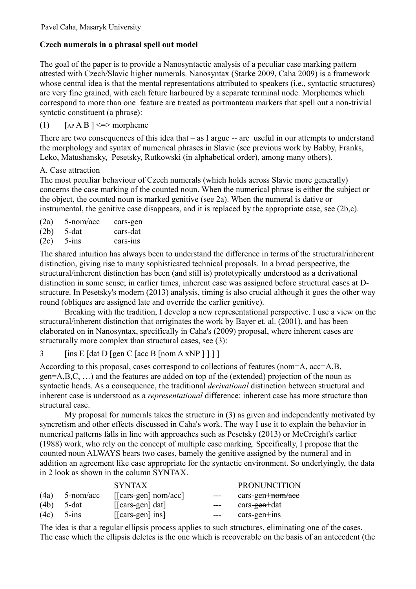## **Czech numerals in a phrasal spell out model**

The goal of the paper is to provide a Nanosyntactic analysis of a peculiar case marking pattern attested with Czech/Slavic higher numerals. Nanosyntax (Starke 2009, Caha 2009) is a framework whose central idea is that the mental representations attributed to speakers (i.e., syntactic structures) are very fine grained, with each feture harboured by a separate terminal node. Morphemes which correspond to more than one feature are treated as portmanteau markers that spell out a non-trivial syntctic constituent (a phrase):

# (1)  $\left[$  AP A B  $\right]$  <=> morpheme

There are two consequences of this idea that  $-$  as I argue  $-$  are useful in our attempts to understand the morphology and syntax of numerical phrases in Slavic (see previous work by Babby, Franks, Leko, Matushansky, Pesetsky, Rutkowski (in alphabetical order), among many others).

### A. Case attraction

The most peculiar behaviour of Czech numerals (which holds across Slavic more generally) concerns the case marking of the counted noun. When the numerical phrase is either the subject or the object, the counted noun is marked genitive (see 2a). When the numeral is dative or instrumental, the genitive case disappears, and it is replaced by the appropriate case, see (2b,c).

| (2a) | 5-nom/acc | cars-gen |
|------|-----------|----------|
| (2b) | 5-dat     | cars-dat |
| (2c) | $5 - ins$ | cars-ins |

The shared intuition has always been to understand the difference in terms of the structural/inherent distinction, giving rise to many sophisticated technical proposals. In a broad perspective, the structural/inherent distinction has been (and still is) prototypically understood as a derivational distinction in some sense; in earlier times, inherent case was assigned before structural cases at Dstructure. In Pesetsky's modern (2013) analysis, timing is also crucial although it goes the other way round (obliques are assigned late and override the earlier genitive).

Breaking with the tradition, I develop a new representational perspective. I use a view on the structural/inherent distinction that orriginates the work by Bayer et. al. (2001), and has been elaborated on in Nanosyntax, specifically in Caha's (2009) proposal, where inherent cases are structurally more complex than structural cases, see (3):

 $3$  [ins E [dat D [gen C [acc B [nom A xNP ] ] ] ]

According to this proposal, cases correspond to collections of features (nom=A, acc=A,B, gen=A,B,C, …) and the features are added on top of the (extended) projection of the noun as syntactic heads. As a consequence, the traditional *derivational* distinction between structural and inherent case is understood as a *representational* difference: inherent case has more structure than structural case.

My proposal for numerals takes the structure in (3) as given and independently motivated by syncretism and other effects discussed in Caha's work. The way I use it to explain the behavior in numerical patterns falls in line with approaches such as Pesetsky (2013) or McCreight's earlier (1988) work, who rely on the concept of multiple case marking. Specifically, I propose that the counted noun ALWAYS bears two cases, bamely the genitive assigned by the numeral and in addition an agreement like case appropriate for the syntactic environment. So underlyingly, the data in 2 look as shown in the column SYNTAX.

|      |              | <b>SYNTAX</b>                 |       | <b>PRONUNCITION</b>       |
|------|--------------|-------------------------------|-------|---------------------------|
| (4a) | $5$ -nom/acc | $\lfloor$ [cars-gen] nom/acc] | $---$ | $cars-gen+nom/ace$        |
| (4b) | 5-dat        | $\lfloor$ [cars-gen] dat]     | $---$ | cars- <del>gen+</del> dat |
| (4c) | $5$ -ins     | $\lfloor$ [cars-gen] ins]     | $---$ | cars-gen+ins              |

The idea is that a regular ellipsis process applies to such structures, eliminating one of the cases. The case which the ellipsis deletes is the one which is recoverable on the basis of an antecedent (the